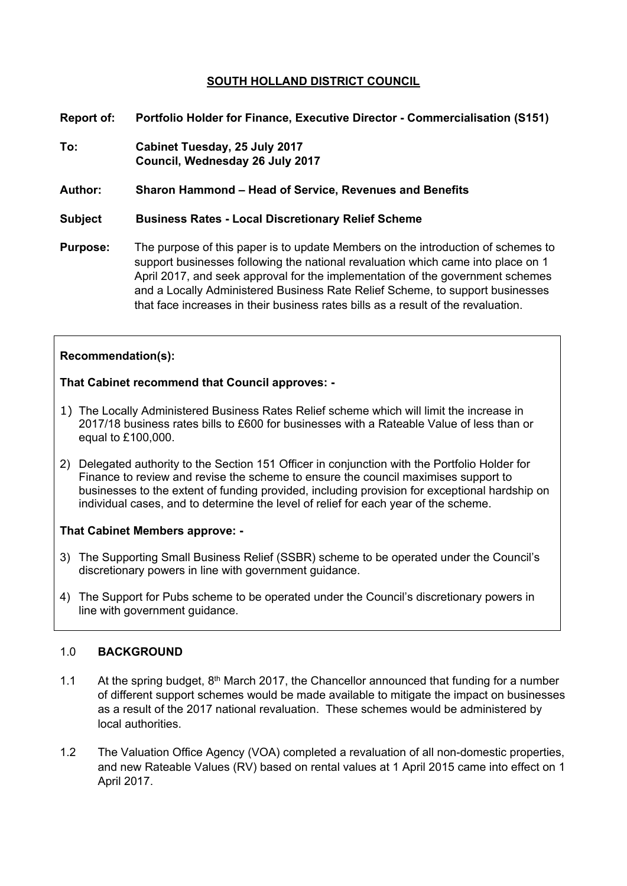# **SOUTH HOLLAND DISTRICT COUNCIL**

- **Report of: Portfolio Holder for Finance, Executive Director - Commercialisation (S151)**
- **To: Cabinet Tuesday, 25 July 2017 Council, Wednesday 26 July 2017**

**Author: Sharon Hammond – Head of Service, Revenues and Benefits**

## **Subject Business Rates - Local Discretionary Relief Scheme**

**Purpose:** The purpose of this paper is to update Members on the introduction of schemes to support businesses following the national revaluation which came into place on 1 April 2017, and seek approval for the implementation of the government schemes and a Locally Administered Business Rate Relief Scheme, to support businesses that face increases in their business rates bills as a result of the revaluation.

# **Recommendation(s):**

## **That Cabinet recommend that Council approves: -**

- 1) The Locally Administered Business Rates Relief scheme which will limit the increase in 2017/18 business rates bills to £600 for businesses with a Rateable Value of less than or equal to £100,000.
- 2) Delegated authority to the Section 151 Officer in conjunction with the Portfolio Holder for Finance to review and revise the scheme to ensure the council maximises support to businesses to the extent of funding provided, including provision for exceptional hardship on individual cases, and to determine the level of relief for each year of the scheme.

### **That Cabinet Members approve: -**

- 3) The Supporting Small Business Relief (SSBR) scheme to be operated under the Council's discretionary powers in line with government guidance.
- 4) The Support for Pubs scheme to be operated under the Council's discretionary powers in line with government guidance.

### 1.0 **BACKGROUND**

- 1.1 At the spring budget,  $8<sup>th</sup>$  March 2017, the Chancellor announced that funding for a number of different support schemes would be made available to mitigate the impact on businesses as a result of the 2017 national revaluation. These schemes would be administered by local authorities.
- 1.2 The Valuation Office Agency (VOA) completed a revaluation of all non-domestic properties, and new Rateable Values (RV) based on rental values at 1 April 2015 came into effect on 1 April 2017.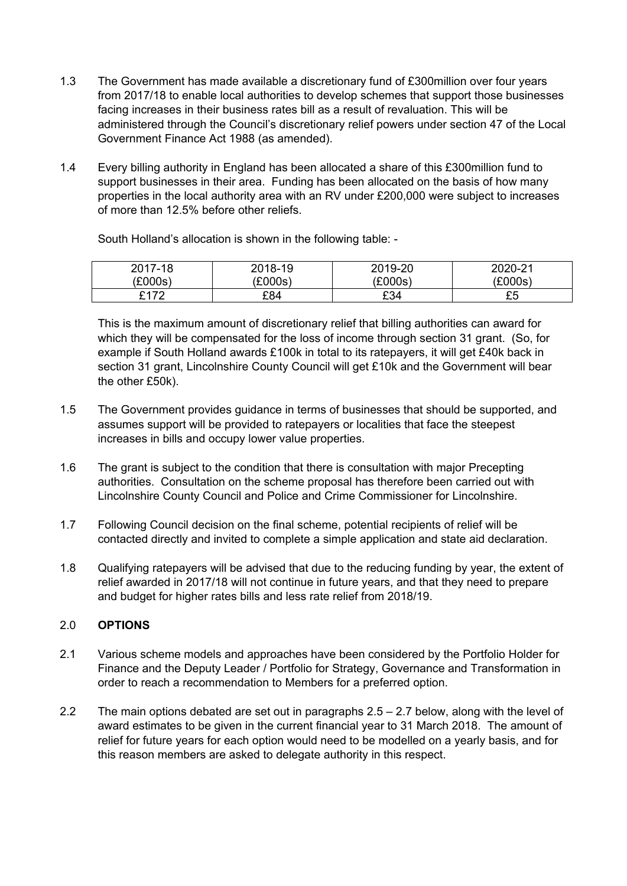- 1.3 The Government has made available a discretionary fund of £300million over four years from 2017/18 to enable local authorities to develop schemes that support those businesses facing increases in their business rates bill as a result of revaluation. This will be administered through the Council's discretionary relief powers under section 47 of the Local Government Finance Act 1988 (as amended).
- 1.4 Every billing authority in England has been allocated a share of this £300million fund to support businesses in their area. Funding has been allocated on the basis of how many properties in the local authority area with an RV under £200,000 were subject to increases of more than 12.5% before other reliefs.

South Holland's allocation is shown in the following table: -

| 2017-18     | 2018-19 | 2019-20 | 2020-21 |
|-------------|---------|---------|---------|
| (£000s)     | £000s)  | (£000s) | (£000s) |
| <b>C170</b> | £84     | £34     | cг<br>ົ |

This is the maximum amount of discretionary relief that billing authorities can award for which they will be compensated for the loss of income through section 31 grant. (So, for example if South Holland awards £100k in total to its ratepayers, it will get £40k back in section 31 grant, Lincolnshire County Council will get £10k and the Government will bear the other £50k).

- 1.5 The Government provides guidance in terms of businesses that should be supported, and assumes support will be provided to ratepayers or localities that face the steepest increases in bills and occupy lower value properties.
- 1.6 The grant is subject to the condition that there is consultation with major Precepting authorities. Consultation on the scheme proposal has therefore been carried out with Lincolnshire County Council and Police and Crime Commissioner for Lincolnshire.
- 1.7 Following Council decision on the final scheme, potential recipients of relief will be contacted directly and invited to complete a simple application and state aid declaration.
- 1.8 Qualifying ratepayers will be advised that due to the reducing funding by year, the extent of relief awarded in 2017/18 will not continue in future years, and that they need to prepare and budget for higher rates bills and less rate relief from 2018/19.

## 2.0 **OPTIONS**

- 2.1 Various scheme models and approaches have been considered by the Portfolio Holder for Finance and the Deputy Leader / Portfolio for Strategy, Governance and Transformation in order to reach a recommendation to Members for a preferred option.
- 2.2 The main options debated are set out in paragraphs 2.5 2.7 below, along with the level of award estimates to be given in the current financial year to 31 March 2018. The amount of relief for future years for each option would need to be modelled on a yearly basis, and for this reason members are asked to delegate authority in this respect.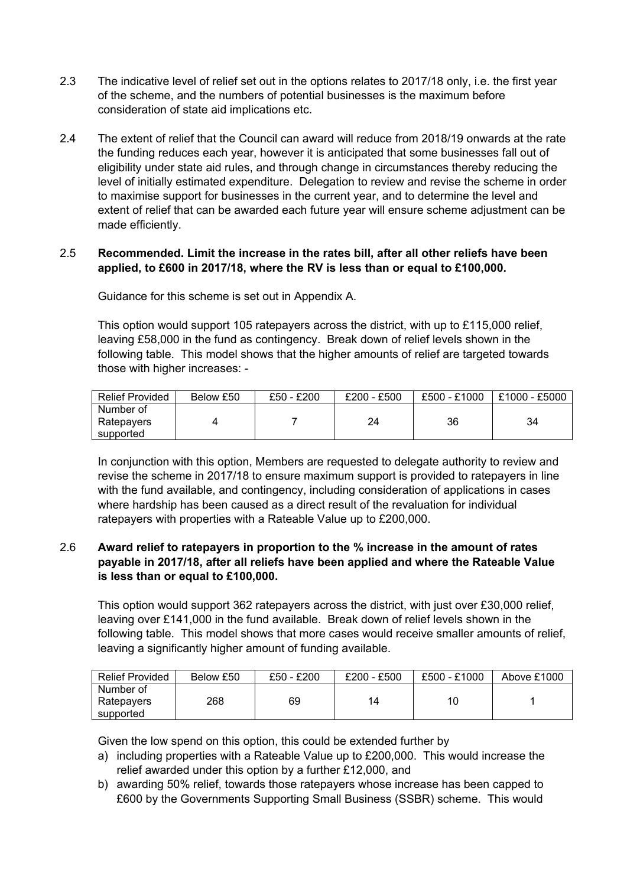- 2.3 The indicative level of relief set out in the options relates to 2017/18 only, i.e. the first year of the scheme, and the numbers of potential businesses is the maximum before consideration of state aid implications etc.
- 2.4 The extent of relief that the Council can award will reduce from 2018/19 onwards at the rate the funding reduces each year, however it is anticipated that some businesses fall out of eligibility under state aid rules, and through change in circumstances thereby reducing the level of initially estimated expenditure. Delegation to review and revise the scheme in order to maximise support for businesses in the current year, and to determine the level and extent of relief that can be awarded each future year will ensure scheme adjustment can be made efficiently.

## 2.5 **Recommended. Limit the increase in the rates bill, after all other reliefs have been applied, to £600 in 2017/18, where the RV is less than or equal to £100,000.**

Guidance for this scheme is set out in Appendix A.

This option would support 105 ratepayers across the district, with up to £115,000 relief, leaving £58,000 in the fund as contingency. Break down of relief levels shown in the following table. This model shows that the higher amounts of relief are targeted towards those with higher increases: -

| <b>Relief Provided</b>  | Below £50 | £50 - £200 | $£200 - £500$ | £500 - £1000 | £1000 - £5000 |
|-------------------------|-----------|------------|---------------|--------------|---------------|
| Number of<br>Ratepayers |           |            | 24            | 36           | 34            |
| supported               |           |            |               |              |               |

In conjunction with this option, Members are requested to delegate authority to review and revise the scheme in 2017/18 to ensure maximum support is provided to ratepayers in line with the fund available, and contingency, including consideration of applications in cases where hardship has been caused as a direct result of the revaluation for individual ratepayers with properties with a Rateable Value up to £200,000.

## 2.6 **Award relief to ratepayers in proportion to the % increase in the amount of rates payable in 2017/18, after all reliefs have been applied and where the Rateable Value is less than or equal to £100,000.**

This option would support 362 ratepayers across the district, with just over £30,000 relief, leaving over £141,000 in the fund available. Break down of relief levels shown in the following table. This model shows that more cases would receive smaller amounts of relief, leaving a significantly higher amount of funding available.

| <b>Relief Provided</b> | Below £50 | £50 - £200 | $£200 - £500$ | £500 - £1000 | Above £1000 |
|------------------------|-----------|------------|---------------|--------------|-------------|
| Number of              |           |            |               |              |             |
| Ratepayers             | 268       | 69         | 14            | 10           |             |
| supported              |           |            |               |              |             |

Given the low spend on this option, this could be extended further by

- a) including properties with a Rateable Value up to £200,000. This would increase the relief awarded under this option by a further £12,000, and
- b) awarding 50% relief, towards those ratepayers whose increase has been capped to £600 by the Governments Supporting Small Business (SSBR) scheme. This would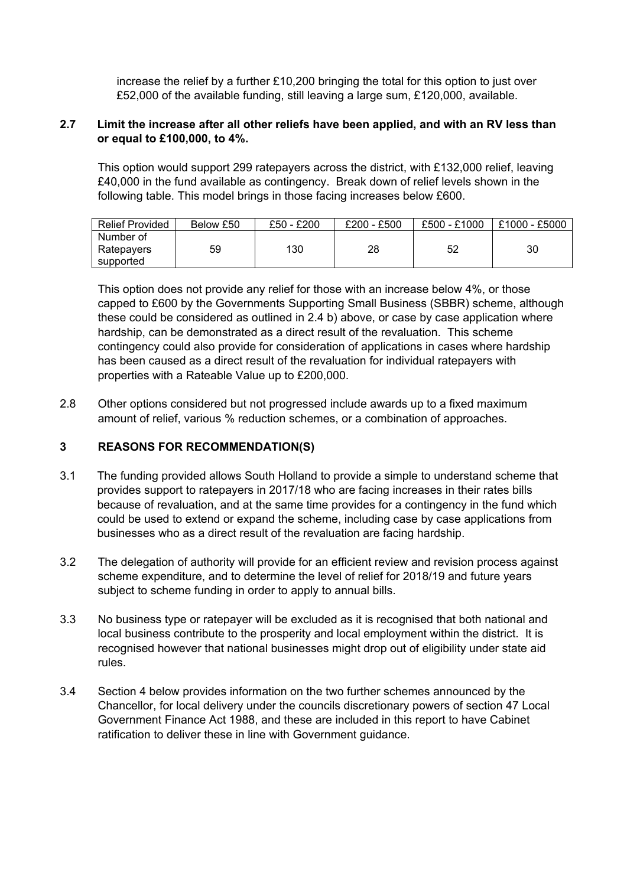increase the relief by a further £10,200 bringing the total for this option to just over £52,000 of the available funding, still leaving a large sum, £120,000, available.

## **2.7 Limit the increase after all other reliefs have been applied, and with an RV less than or equal to £100,000, to 4%.**

This option would support 299 ratepayers across the district, with £132,000 relief, leaving £40,000 in the fund available as contingency. Break down of relief levels shown in the following table. This model brings in those facing increases below £600.

| <b>Relief Provided</b>  | Below £50 | £50 - £200 | $£200 - £500$ | £500 - £1000 | £1000 - £5000 |
|-------------------------|-----------|------------|---------------|--------------|---------------|
| Number of<br>Ratepayers | 59        | 130        | 28            | 52           | 30            |
| supported               |           |            |               |              |               |

This option does not provide any relief for those with an increase below 4%, or those capped to £600 by the Governments Supporting Small Business (SBBR) scheme, although these could be considered as outlined in 2.4 b) above, or case by case application where hardship, can be demonstrated as a direct result of the revaluation. This scheme contingency could also provide for consideration of applications in cases where hardship has been caused as a direct result of the revaluation for individual ratepayers with properties with a Rateable Value up to £200,000.

2.8 Other options considered but not progressed include awards up to a fixed maximum amount of relief, various % reduction schemes, or a combination of approaches.

### **3 REASONS FOR RECOMMENDATION(S)**

- 3.1 The funding provided allows South Holland to provide a simple to understand scheme that provides support to ratepayers in 2017/18 who are facing increases in their rates bills because of revaluation, and at the same time provides for a contingency in the fund which could be used to extend or expand the scheme, including case by case applications from businesses who as a direct result of the revaluation are facing hardship.
- 3.2 The delegation of authority will provide for an efficient review and revision process against scheme expenditure, and to determine the level of relief for 2018/19 and future years subject to scheme funding in order to apply to annual bills.
- 3.3 No business type or ratepayer will be excluded as it is recognised that both national and local business contribute to the prosperity and local employment within the district. It is recognised however that national businesses might drop out of eligibility under state aid rules.
- 3.4 Section 4 below provides information on the two further schemes announced by the Chancellor, for local delivery under the councils discretionary powers of section 47 Local Government Finance Act 1988, and these are included in this report to have Cabinet ratification to deliver these in line with Government guidance.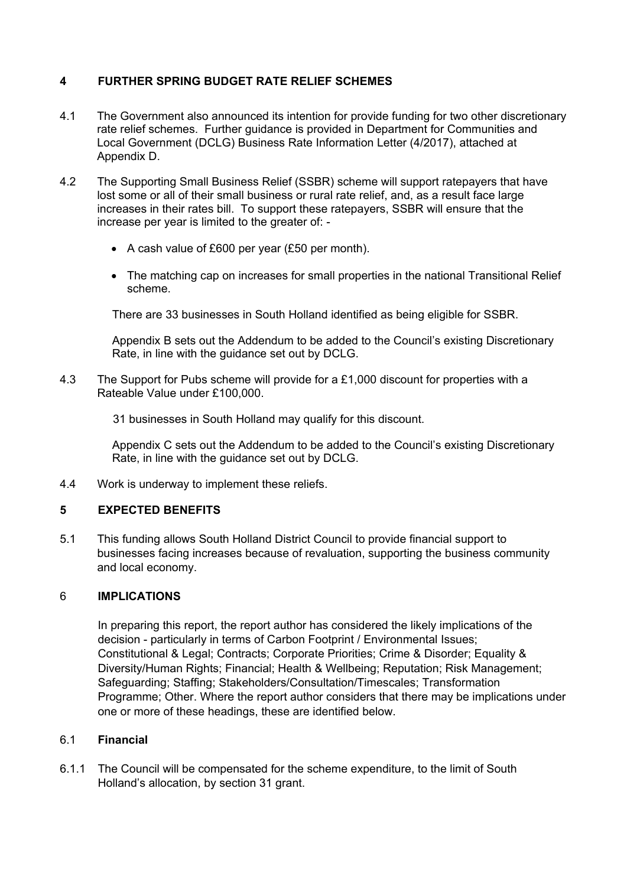# **4 FURTHER SPRING BUDGET RATE RELIEF SCHEMES**

- 4.1 The Government also announced its intention for provide funding for two other discretionary rate relief schemes. Further guidance is provided in Department for Communities and Local Government (DCLG) Business Rate Information Letter (4/2017), attached at Appendix D.
- 4.2 The Supporting Small Business Relief (SSBR) scheme will support ratepayers that have lost some or all of their small business or rural rate relief, and, as a result face large increases in their rates bill. To support these ratepayers, SSBR will ensure that the increase per year is limited to the greater of: -
	- A cash value of £600 per year (£50 per month).
	- The matching cap on increases for small properties in the national Transitional Relief scheme.

There are 33 businesses in South Holland identified as being eligible for SSBR.

Appendix B sets out the Addendum to be added to the Council's existing Discretionary Rate, in line with the guidance set out by DCLG.

4.3 The Support for Pubs scheme will provide for a £1,000 discount for properties with a Rateable Value under £100,000.

31 businesses in South Holland may qualify for this discount.

Appendix C sets out the Addendum to be added to the Council's existing Discretionary Rate, in line with the guidance set out by DCLG.

4.4 Work is underway to implement these reliefs.

# **5 EXPECTED BENEFITS**

5.1 This funding allows South Holland District Council to provide financial support to businesses facing increases because of revaluation, supporting the business community and local economy.

## 6 **IMPLICATIONS**

In preparing this report, the report author has considered the likely implications of the decision - particularly in terms of Carbon Footprint / Environmental Issues; Constitutional & Legal; Contracts; Corporate Priorities; Crime & Disorder; Equality & Diversity/Human Rights; Financial; Health & Wellbeing; Reputation; Risk Management; Safeguarding; Staffing; Stakeholders/Consultation/Timescales; Transformation Programme; Other. Where the report author considers that there may be implications under one or more of these headings, these are identified below.

### 6.1 **Financial**

6.1.1 The Council will be compensated for the scheme expenditure, to the limit of South Holland's allocation, by section 31 grant.